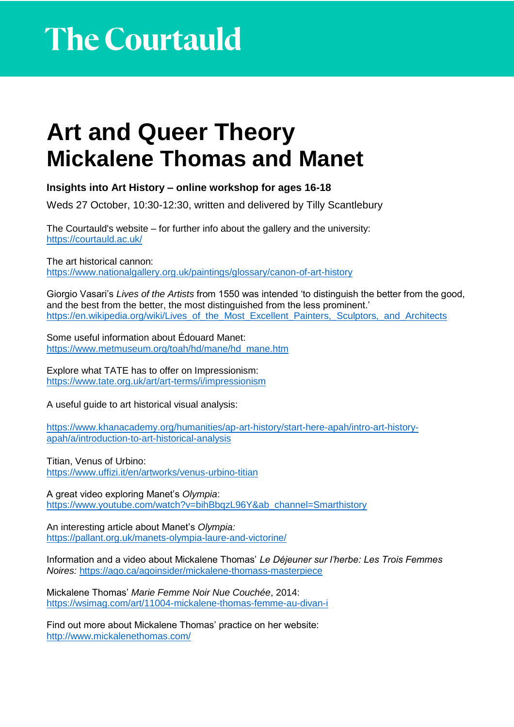## **Art and Queer Theory Mickalene Thomas and Manet**

**Insights into Art History – online workshop for ages 16-18** 

Weds 27 October, 10:30-12:30, written and delivered by Tilly Scantlebury

The Courtauld's website – for further info about the gallery and the university: <https://courtauld.ac.uk/>

The art historical cannon: <https://www.nationalgallery.org.uk/paintings/glossary/canon-of-art-history>

Giorgio Vasari's *Lives of the Artists* from 1550 was intended 'to distinguish the better from the good, and the best from the better, the most distinguished from the less prominent.' [https://en.wikipedia.org/wiki/Lives\\_of\\_the\\_Most\\_Excellent\\_Painters,\\_Sculptors,\\_and\\_Architects](https://en.wikipedia.org/wiki/Lives_of_the_Most_Excellent_Painters,_Sculptors,_and_Architects)

Some useful information about Édouard Manet: [https://www.metmuseum.org/toah/hd/mane/hd\\_mane.htm](https://www.metmuseum.org/toah/hd/mane/hd_mane.htm)

Explore what TATE has to offer on Impressionism: <https://www.tate.org.uk/art/art-terms/i/impressionism>

A useful guide to art historical visual analysis:

[https://www.khanacademy.org/humanities/ap-art-history/start-here-apah/intro-art-history](https://www.khanacademy.org/humanities/ap-art-history/start-here-apah/intro-art-history-apah/a/introduction-to-art-historical-analysis)[apah/a/introduction-to-art-historical-analysis](https://www.khanacademy.org/humanities/ap-art-history/start-here-apah/intro-art-history-apah/a/introduction-to-art-historical-analysis)

Titian, Venus of Urbino: <https://www.uffizi.it/en/artworks/venus-urbino-titian>

A great video exploring Manet's *Olympia*: [https://www.youtube.com/watch?v=bihBbqzL96Y&ab\\_channel=Smarthistory](https://www.youtube.com/watch?v=bihBbqzL96Y&ab_channel=Smarthistory)

An interesting article about Manet's *Olympia:*  <https://pallant.org.uk/manets-olympia-laure-and-victorine/>

Information and a video about Mickalene Thomas' *Le Déjeuner sur l'herbe: Les Trois Femmes Noires:* <https://ago.ca/agoinsider/mickalene-thomass-masterpiece>

Mickalene Thomas' *Marie Femme Noir Nue Couchée*, 2014: <https://wsimag.com/art/11004-mickalene-thomas-femme-au-divan-i>

Find out more about Mickalene Thomas' practice on her website: <http://www.mickalenethomas.com/>